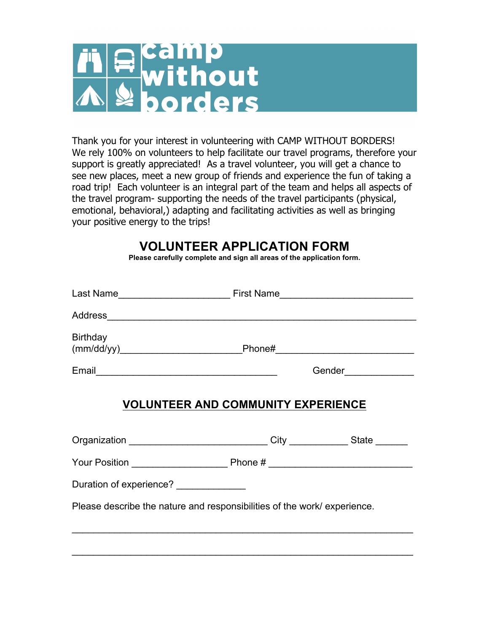

Thank you for your interest in volunteering with CAMP WITHOUT BORDERS! We rely 100% on volunteers to help facilitate our travel programs, therefore your support is greatly appreciated! As a travel volunteer, you will get a chance to see new places, meet a new group of friends and experience the fun of taking a road trip! Each volunteer is an integral part of the team and helps all aspects of the travel program- supporting the needs of the travel participants (physical, emotional, behavioral,) adapting and facilitating activities as well as bringing your positive energy to the trips!

# **VOLUNTEER APPLICATION FORM**

**Please carefully complete and sign all areas of the application form.**

| Birthday                                                                                                                 |  |                      |
|--------------------------------------------------------------------------------------------------------------------------|--|----------------------|
|                                                                                                                          |  | Gender______________ |
| <b>VOLUNTEER AND COMMUNITY EXPERIENCE</b><br>Organization ______________________________City _____________State ________ |  |                      |
|                                                                                                                          |  |                      |
| Duration of experience? ______________                                                                                   |  |                      |
| Please describe the nature and responsibilities of the work/experience.                                                  |  |                      |
|                                                                                                                          |  |                      |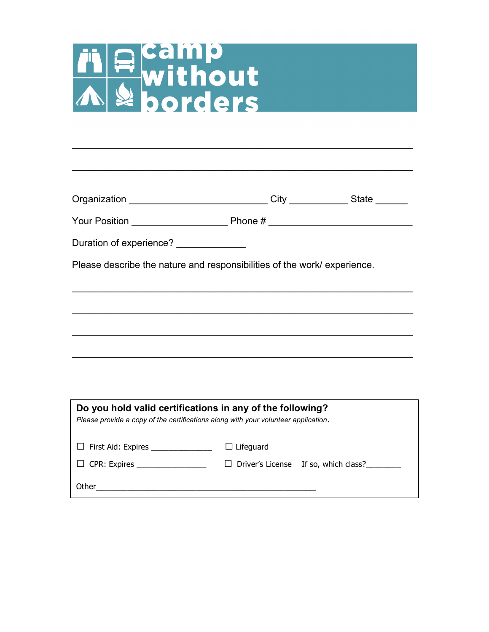# The Camp<br>Myithout

| Organization _______________________________City _____________State _______                                                                     |                  |                                        |
|-------------------------------------------------------------------------------------------------------------------------------------------------|------------------|----------------------------------------|
|                                                                                                                                                 |                  |                                        |
| Duration of experience? ______________                                                                                                          |                  |                                        |
| Please describe the nature and responsibilities of the work/experience.                                                                         |                  |                                        |
|                                                                                                                                                 |                  |                                        |
|                                                                                                                                                 |                  |                                        |
|                                                                                                                                                 |                  |                                        |
|                                                                                                                                                 |                  |                                        |
|                                                                                                                                                 |                  |                                        |
| Do you hold valid certifications in any of the following?<br>Please provide a copy of the certifications along with your volunteer application. |                  |                                        |
| □ First Aid: Expires _______________                                                                                                            | $\Box$ Lifeguard |                                        |
| $\Box$ CPR: Expires ___________________                                                                                                         |                  | □ Driver's License If so, which class? |

Other\_\_\_\_\_\_\_\_\_\_\_\_\_\_\_\_\_\_\_\_\_\_\_\_\_\_\_\_\_\_\_\_\_\_\_\_\_\_\_\_\_\_

\_\_\_\_\_\_\_\_\_\_\_\_\_\_\_\_\_\_\_\_\_\_\_\_\_\_\_\_\_\_\_\_\_\_\_\_\_\_\_\_\_\_\_\_\_\_\_\_\_\_\_\_\_\_\_\_\_\_\_\_\_\_\_\_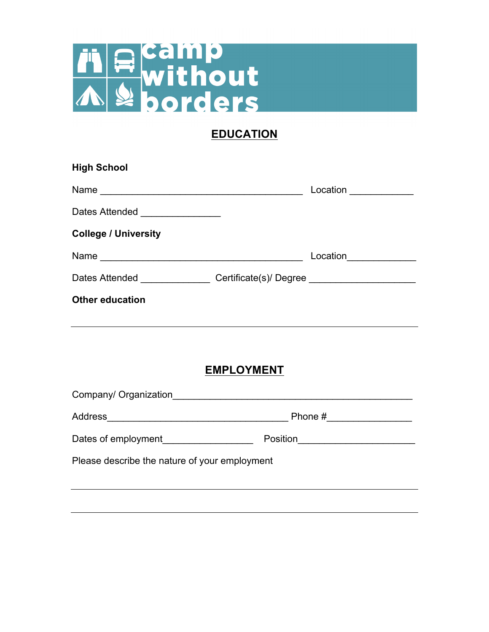

# **EDUCATION**

| <b>High School</b>                                                               |                   |                        |
|----------------------------------------------------------------------------------|-------------------|------------------------|
|                                                                                  |                   | Location _____________ |
| Dates Attended ________________                                                  |                   |                        |
| <b>College / University</b>                                                      |                   |                        |
| Name                                                                             |                   | Location_____________  |
| Dates Attended __________________Certificate(s)/Degree _________________________ |                   |                        |
| <b>Other education</b>                                                           |                   |                        |
|                                                                                  |                   |                        |
|                                                                                  |                   |                        |
|                                                                                  | <b>EMPLOYMENT</b> |                        |
| Company/ Organization                                                            |                   |                        |

| Address                                       | Phone #  |
|-----------------------------------------------|----------|
| Dates of employment                           | Position |
| Please describe the nature of your employment |          |
|                                               |          |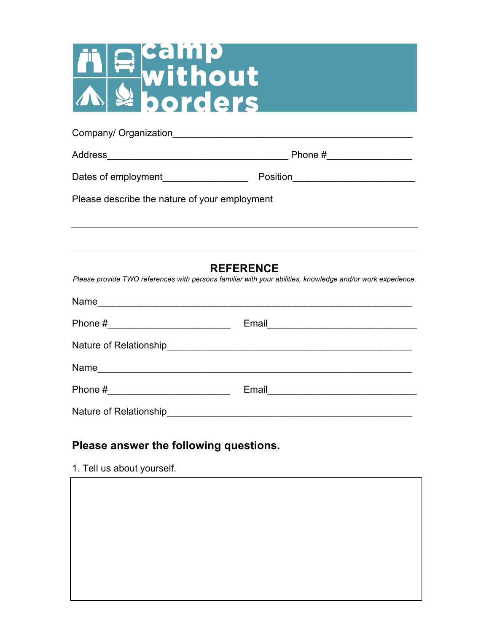

| Company/ Organization |  |
|-----------------------|--|
|                       |  |

Address\_\_\_\_\_\_\_\_\_\_\_\_\_\_\_\_\_\_\_\_\_\_\_\_\_\_\_\_\_\_\_\_\_\_ Phone #\_\_\_\_\_\_\_\_\_\_\_\_\_\_\_\_

Dates of employment\_\_\_\_\_\_\_\_\_\_\_\_\_\_\_\_ Position\_\_\_\_\_\_\_\_\_\_\_\_\_\_\_\_\_\_\_\_\_\_\_

Please describe the nature of your employment

### **REFERENCE**

*Please provide TWO references with persons familiar with your abilities, knowledge and/or work experience.*

| Name                   |                                                                                                                        |
|------------------------|------------------------------------------------------------------------------------------------------------------------|
| Phone #                | Email ________________________                                                                                         |
|                        |                                                                                                                        |
| Name                   |                                                                                                                        |
|                        | Email <u>____________________</u>                                                                                      |
| Nature of Relationship | <u> 1980 - Johann Johann Stone, meil in der Stone aus der Stone aus der Stone aus der Stone aus der Stone aus der </u> |

### **Please answer the following questions.**

1. Tell us about yourself.

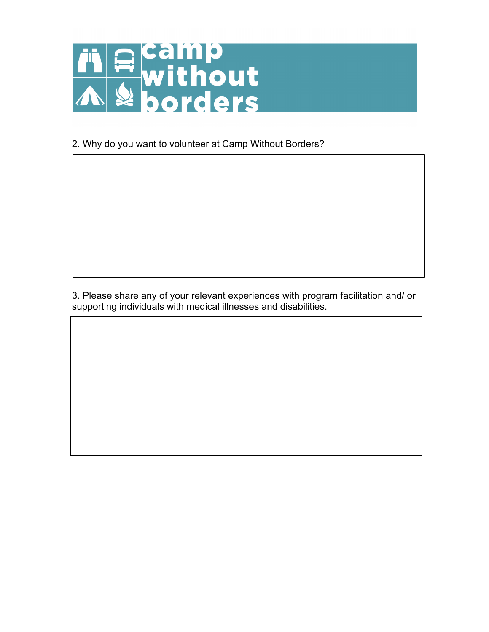

2. Why do you want to volunteer at Camp Without Borders?

3. Please share any of your relevant experiences with program facilitation and/ or supporting individuals with medical illnesses and disabilities.